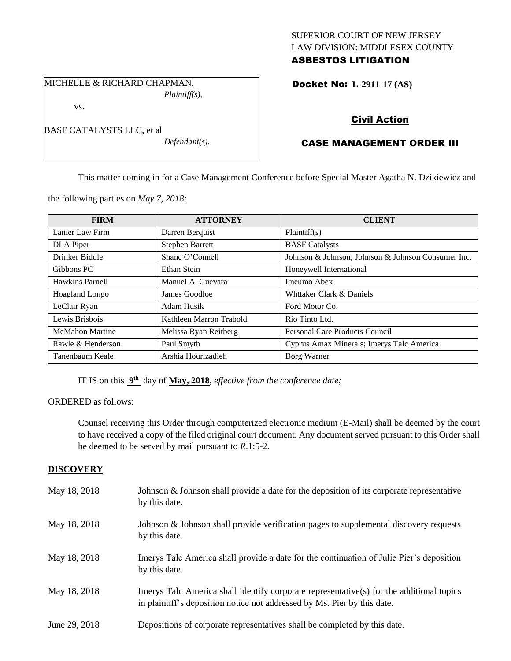# SUPERIOR COURT OF NEW JERSEY LAW DIVISION: MIDDLESEX COUNTY ASBESTOS LITIGATION

Docket No: **L-2911-17 (AS)** 

## Civil Action

# CASE MANAGEMENT ORDER III

This matter coming in for a Case Management Conference before Special Master Agatha N. Dzikiewicz and

the following parties on *May 7, 2018:*

| <b>FIRM</b>            | <b>ATTORNEY</b>         | <b>CLIENT</b>                                      |
|------------------------|-------------------------|----------------------------------------------------|
| Lanier Law Firm        | Darren Berquist         | Plaintiff(s)                                       |
| DLA Piper              | <b>Stephen Barrett</b>  | <b>BASF</b> Catalysts                              |
| Drinker Biddle         | Shane O'Connell         | Johnson & Johnson; Johnson & Johnson Consumer Inc. |
| Gibbons PC             | Ethan Stein             | Honeywell International                            |
| Hawkins Parnell        | Manuel A. Guevara       | Pneumo Abex                                        |
| Hoagland Longo         | James Goodloe           | Whttaker Clark & Daniels                           |
| LeClair Ryan           | Adam Husik              | Ford Motor Co.                                     |
| Lewis Brisbois         | Kathleen Marron Trabold | Rio Tinto Ltd.                                     |
| <b>McMahon Martine</b> | Melissa Ryan Reitberg   | Personal Care Products Council                     |
| Rawle & Henderson      | Paul Smyth              | Cyprus Amax Minerals; Imerys Talc America          |
| Tanenbaum Keale        | Arshia Hourizadieh      | Borg Warner                                        |

IT IS on this **9 th** day of **May, 2018**, *effective from the conference date;*

ORDERED as follows:

Counsel receiving this Order through computerized electronic medium (E-Mail) shall be deemed by the court to have received a copy of the filed original court document. Any document served pursuant to this Order shall be deemed to be served by mail pursuant to *R*.1:5-2.

### **DISCOVERY**

| May 18, 2018  | Johnson & Johnson shall provide a date for the deposition of its corporate representative<br>by this date.                                                           |
|---------------|----------------------------------------------------------------------------------------------------------------------------------------------------------------------|
| May 18, 2018  | Johnson & Johnson shall provide verification pages to supplemental discovery requests<br>by this date.                                                               |
| May 18, 2018  | Imerys Talc America shall provide a date for the continuation of Julie Pier's deposition<br>by this date.                                                            |
| May 18, 2018  | Imerys Talc America shall identify corporate representative(s) for the additional topics<br>in plaintiff's deposition notice not addressed by Ms. Pier by this date. |
| June 29, 2018 | Depositions of corporate representatives shall be completed by this date.                                                                                            |

BASF CATALYSTS LLC, et al *Defendant(s).*

*Plaintiff(s),*

MICHELLE & RICHARD CHAPMAN,

vs.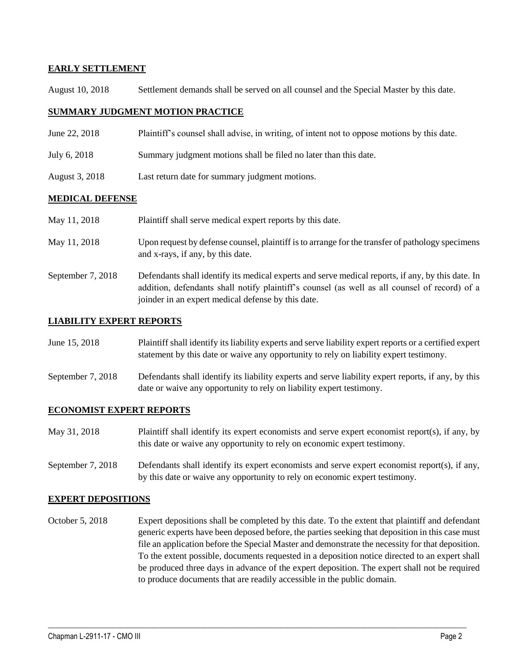## **EARLY SETTLEMENT**

August 10, 2018 Settlement demands shall be served on all counsel and the Special Master by this date.

### **SUMMARY JUDGMENT MOTION PRACTICE**

- June 22, 2018 Plaintiff's counsel shall advise, in writing, of intent not to oppose motions by this date.
- July 6, 2018 Summary judgment motions shall be filed no later than this date.
- August 3, 2018 Last return date for summary judgment motions.

### **MEDICAL DEFENSE**

| May 11, 2018      | Plaintiff shall serve medical expert reports by this date.                                                                                                                                                                                               |
|-------------------|----------------------------------------------------------------------------------------------------------------------------------------------------------------------------------------------------------------------------------------------------------|
| May 11, 2018      | Upon request by defense counsel, plaintiff is to arrange for the transfer of pathology specimens<br>and x-rays, if any, by this date.                                                                                                                    |
| September 7, 2018 | Defendants shall identify its medical experts and serve medical reports, if any, by this date. In<br>addition, defendants shall notify plaintiff's counsel (as well as all counsel of record) of a<br>joinder in an expert medical defense by this date. |

### **LIABILITY EXPERT REPORTS**

| June 15, 2018 | Plaintiff shall identify its liability experts and serve liability expert reports or a certified expert |
|---------------|---------------------------------------------------------------------------------------------------------|
|               | statement by this date or waive any opportunity to rely on liability expert testimony.                  |

September 7, 2018 Defendants shall identify its liability experts and serve liability expert reports, if any, by this date or waive any opportunity to rely on liability expert testimony.

#### **ECONOMIST EXPERT REPORTS**

- May 31, 2018 Plaintiff shall identify its expert economists and serve expert economist report(s), if any, by this date or waive any opportunity to rely on economic expert testimony.
- September 7, 2018 Defendants shall identify its expert economists and serve expert economist report(s), if any, by this date or waive any opportunity to rely on economic expert testimony.

#### **EXPERT DEPOSITIONS**

October 5, 2018 Expert depositions shall be completed by this date. To the extent that plaintiff and defendant generic experts have been deposed before, the parties seeking that deposition in this case must file an application before the Special Master and demonstrate the necessity for that deposition. To the extent possible, documents requested in a deposition notice directed to an expert shall be produced three days in advance of the expert deposition. The expert shall not be required to produce documents that are readily accessible in the public domain.

 $\_$  ,  $\_$  ,  $\_$  ,  $\_$  ,  $\_$  ,  $\_$  ,  $\_$  ,  $\_$  ,  $\_$  ,  $\_$  ,  $\_$  ,  $\_$  ,  $\_$  ,  $\_$  ,  $\_$  ,  $\_$  ,  $\_$  ,  $\_$  ,  $\_$  ,  $\_$  ,  $\_$  ,  $\_$  ,  $\_$  ,  $\_$  ,  $\_$  ,  $\_$  ,  $\_$  ,  $\_$  ,  $\_$  ,  $\_$  ,  $\_$  ,  $\_$  ,  $\_$  ,  $\_$  ,  $\_$  ,  $\_$  ,  $\_$  ,